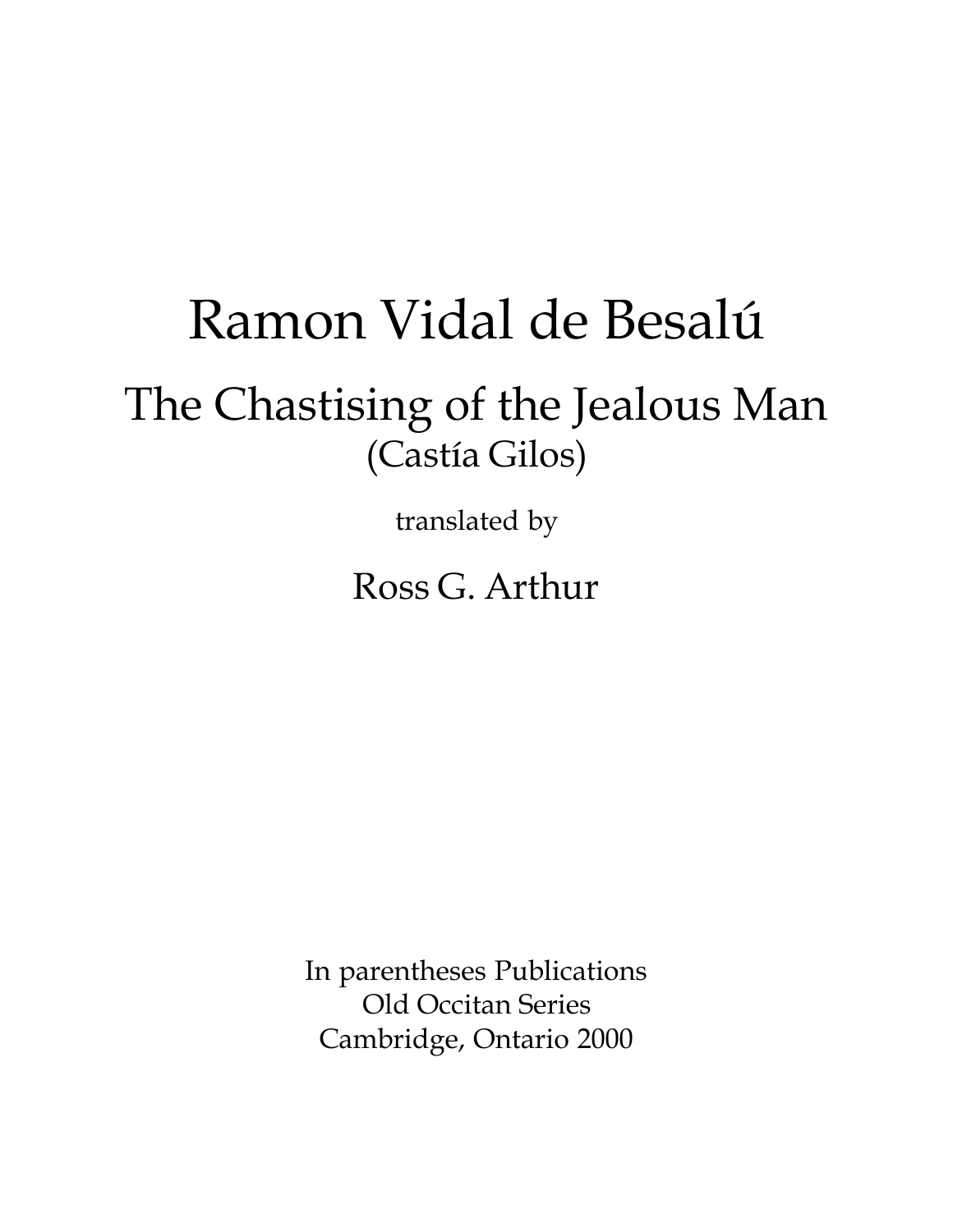## Ramon Vidal de Besalú The Chastising of the Jealous Man (Castía Gilos)

translated by

Ross G. Arthur

In parentheses Publications Old Occitan Series Cambridge, Ontario 2000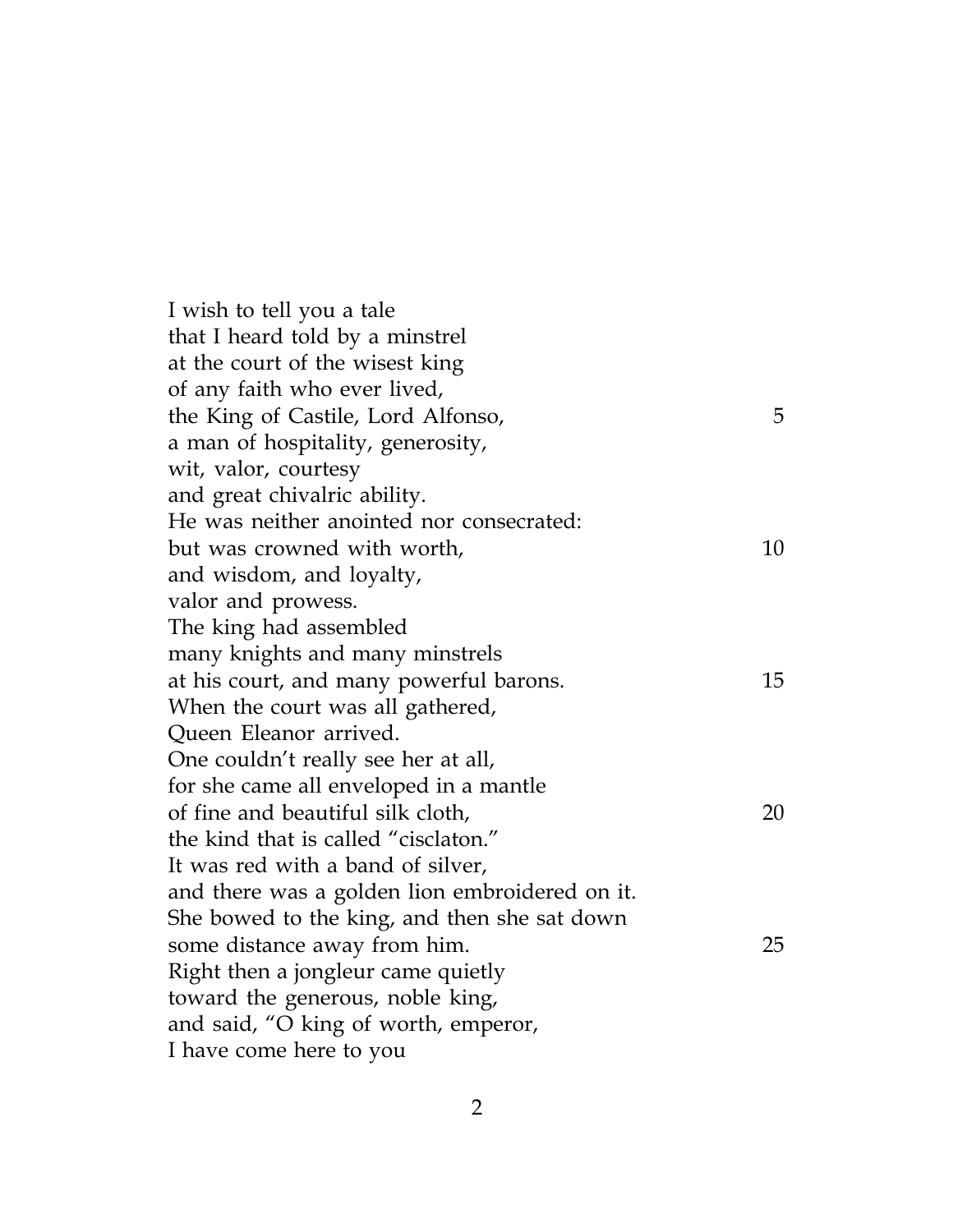I wish to tell you a tale that I heard told by a minstrel at the court of the wisest king of any faith who ever lived, the King of Castile, Lord Alfonso, 5 a man of hospitality, generosity, wit, valor, courtesy and great chivalric ability. He was neither anointed nor consecrated: but was crowned with worth, the control of the state of  $10$ and wisdom, and loyalty, valor and prowess. The king had assembled many knights and many minstrels at his court, and many powerful barons. 15 When the court was all gathered, Queen Eleanor arrived. One couldn't really see her at all, for she came all enveloped in a mantle of fine and beautiful silk cloth, 20 the kind that is called "cisclaton." It was red with a band of silver, and there was a golden lion embroidered on it. She bowed to the king, and then she sat down some distance away from him. 25 Right then a jongleur came quietly toward the generous, noble king, and said, "O king of worth, emperor, I have come here to you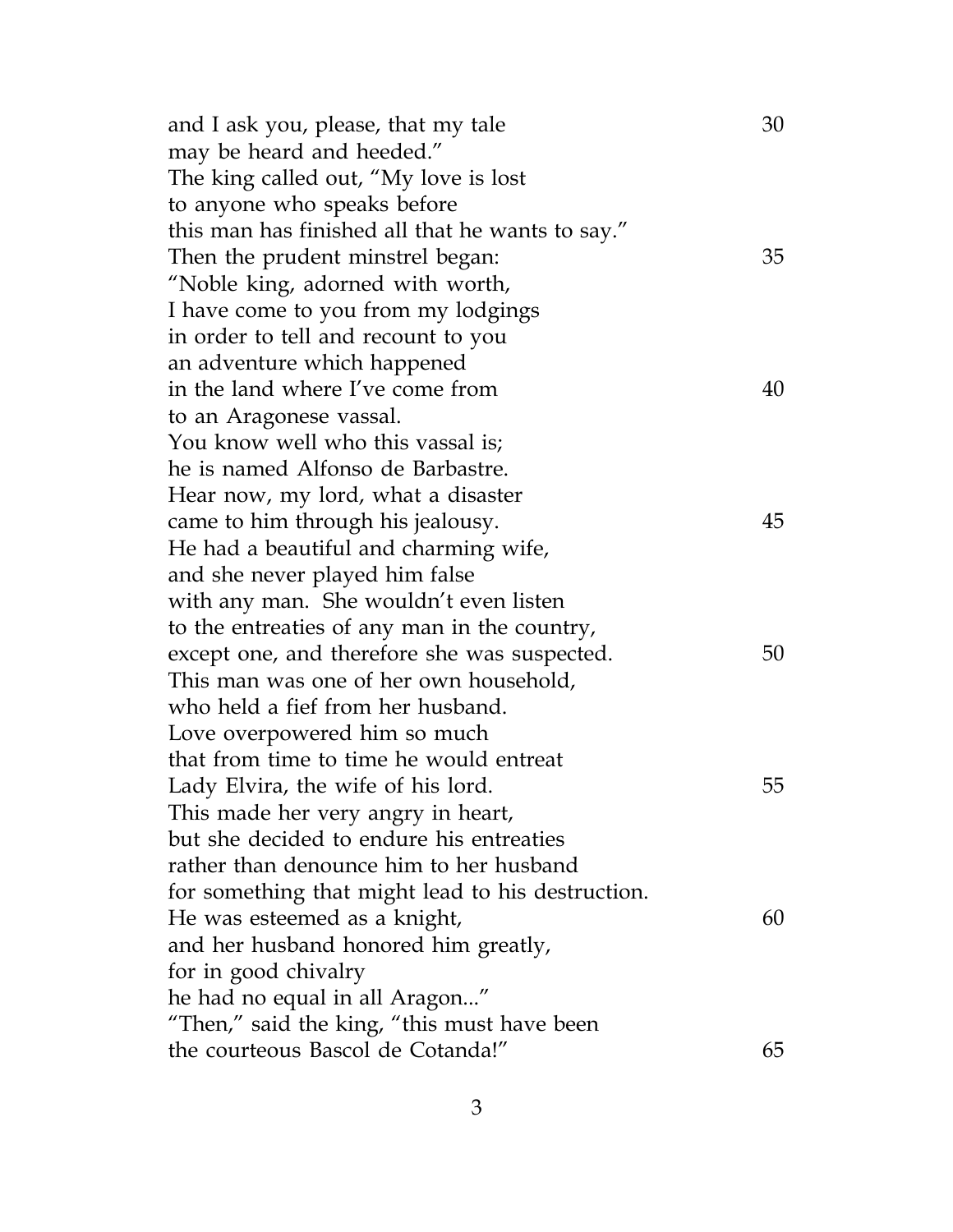| and I ask you, please, that my tale               | 30 |
|---------------------------------------------------|----|
| may be heard and heeded."                         |    |
| The king called out, "My love is lost"            |    |
| to anyone who speaks before                       |    |
| this man has finished all that he wants to say."  |    |
| Then the prudent minstrel began:                  | 35 |
| "Noble king, adorned with worth,                  |    |
| I have come to you from my lodgings               |    |
| in order to tell and recount to you               |    |
| an adventure which happened                       |    |
| in the land where I've come from                  | 40 |
| to an Aragonese vassal.                           |    |
| You know well who this vassal is;                 |    |
| he is named Alfonso de Barbastre.                 |    |
| Hear now, my lord, what a disaster                |    |
| came to him through his jealousy.                 | 45 |
| He had a beautiful and charming wife,             |    |
| and she never played him false                    |    |
| with any man. She wouldn't even listen            |    |
| to the entreaties of any man in the country,      |    |
| except one, and therefore she was suspected.      | 50 |
| This man was one of her own household,            |    |
| who held a fief from her husband.                 |    |
| Love overpowered him so much                      |    |
| that from time to time he would entreat           |    |
| Lady Elvira, the wife of his lord.                | 55 |
| This made her very angry in heart,                |    |
| but she decided to endure his entreaties          |    |
| rather than denounce him to her husband           |    |
| for something that might lead to his destruction. |    |
| He was esteemed as a knight,                      | 60 |
| and her husband honored him greatly,              |    |
| for in good chivalry                              |    |
| he had no equal in all Aragon"                    |    |
| "Then," said the king, "this must have been       |    |
| the courteous Bascol de Cotanda!"                 | 65 |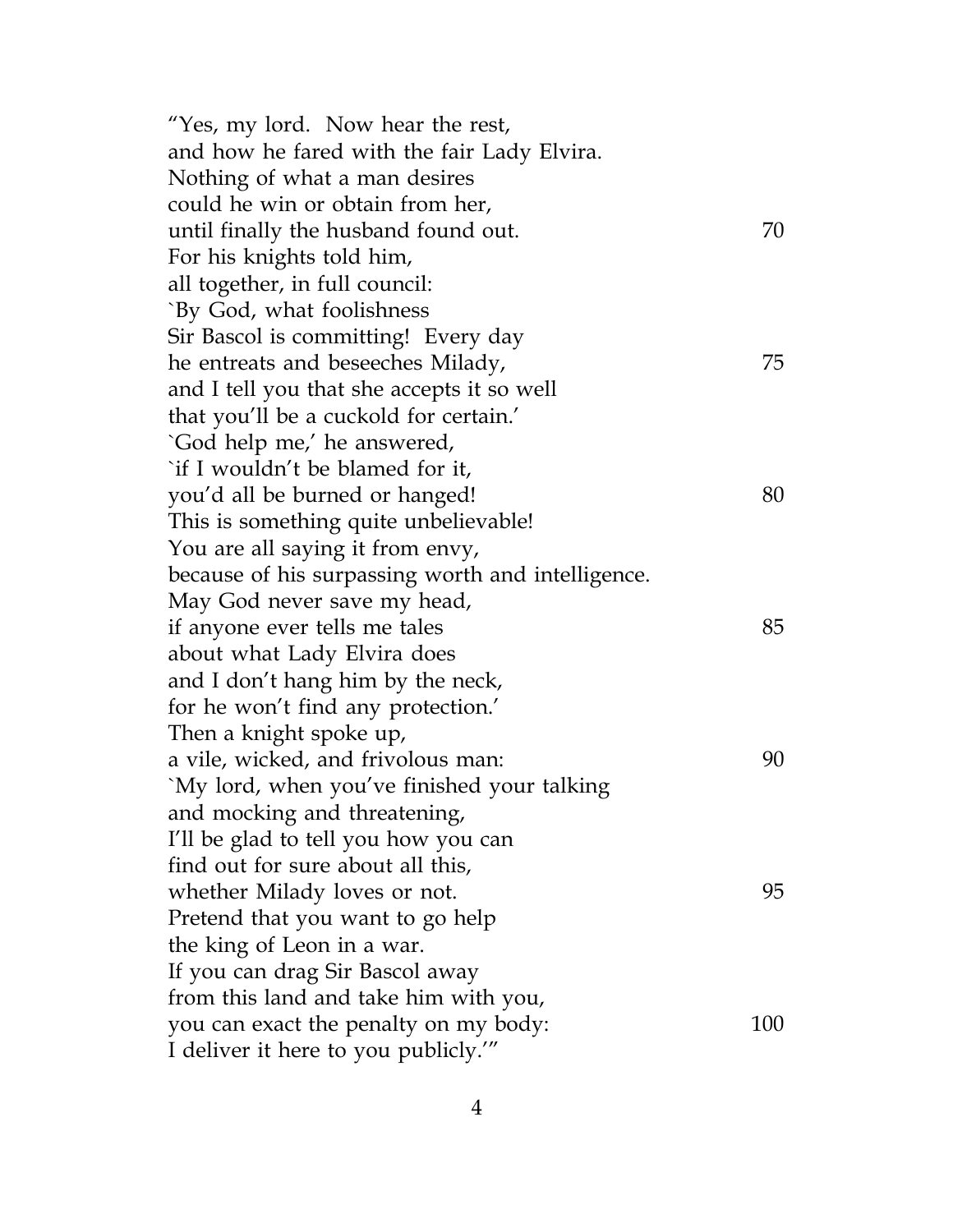| "Yes, my lord. Now hear the rest,                 |     |
|---------------------------------------------------|-----|
| and how he fared with the fair Lady Elvira.       |     |
| Nothing of what a man desires                     |     |
| could he win or obtain from her,                  |     |
| until finally the husband found out.              | 70  |
| For his knights told him,                         |     |
| all together, in full council:                    |     |
| `By God, what foolishness                         |     |
| Sir Bascol is committing! Every day               |     |
| he entreats and beseeches Milady,                 | 75  |
| and I tell you that she accepts it so well        |     |
| that you'll be a cuckold for certain.'            |     |
| `God help me,' he answered,                       |     |
| `if I wouldn't be blamed for it,                  |     |
| you'd all be burned or hanged!                    | 80  |
| This is something quite unbelievable!             |     |
| You are all saying it from envy,                  |     |
| because of his surpassing worth and intelligence. |     |
| May God never save my head,                       |     |
| if anyone ever tells me tales                     | 85  |
| about what Lady Elvira does                       |     |
| and I don't hang him by the neck,                 |     |
| for he won't find any protection.'                |     |
| Then a knight spoke up,                           |     |
| a vile, wicked, and frivolous man:                | 90  |
| `My lord, when you've finished your talking       |     |
| and mocking and threatening,                      |     |
| I'll be glad to tell you how you can              |     |
| find out for sure about all this,                 |     |
| whether Milady loves or not.                      | 95  |
| Pretend that you want to go help                  |     |
| the king of Leon in a war.                        |     |
| If you can drag Sir Bascol away                   |     |
| from this land and take him with you,             |     |
| you can exact the penalty on my body:             | 100 |
| I deliver it here to you publicly."               |     |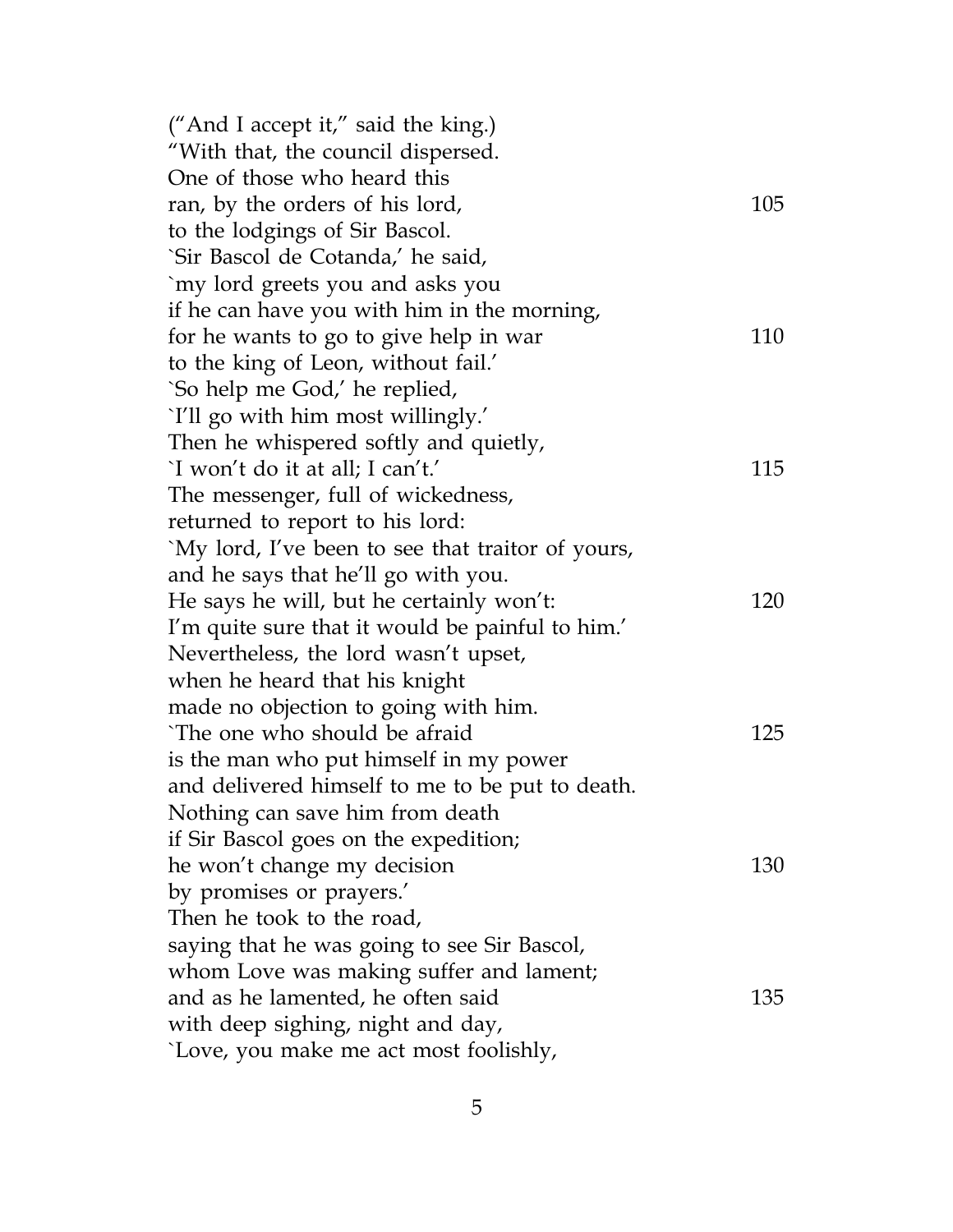| ("And I accept it," said the king.)               |     |
|---------------------------------------------------|-----|
| "With that, the council dispersed.                |     |
| One of those who heard this                       |     |
| ran, by the orders of his lord,                   | 105 |
| to the lodgings of Sir Bascol.                    |     |
| 'Sir Bascol de Cotanda,' he said,                 |     |
| `my lord greets you and asks you                  |     |
| if he can have you with him in the morning,       |     |
| for he wants to go to give help in war            | 110 |
| to the king of Leon, without fail.'               |     |
| `So help me God,' he replied,                     |     |
| 'I'll go with him most willingly.'                |     |
| Then he whispered softly and quietly,             |     |
| 'I won't do it at all; I can't.'                  | 115 |
| The messenger, full of wickedness,                |     |
| returned to report to his lord:                   |     |
| `My lord, I've been to see that traitor of yours, |     |
| and he says that he'll go with you.               |     |
| He says he will, but he certainly won't:          | 120 |
| I'm quite sure that it would be painful to him.   |     |
| Nevertheless, the lord wasn't upset,              |     |
| when he heard that his knight                     |     |
| made no objection to going with him.              |     |
| The one who should be afraid                      | 125 |
| is the man who put himself in my power            |     |
| and delivered himself to me to be put to death.   |     |
| Nothing can save him from death                   |     |
| if Sir Bascol goes on the expedition;             |     |
| he won't change my decision                       | 130 |
| by promises or prayers.'                          |     |
| Then he took to the road,                         |     |
| saying that he was going to see Sir Bascol,       |     |
| whom Love was making suffer and lament;           |     |
| and as he lamented, he often said                 | 135 |
| with deep sighing, night and day,                 |     |
| `Love, you make me act most foolishly,            |     |
|                                                   |     |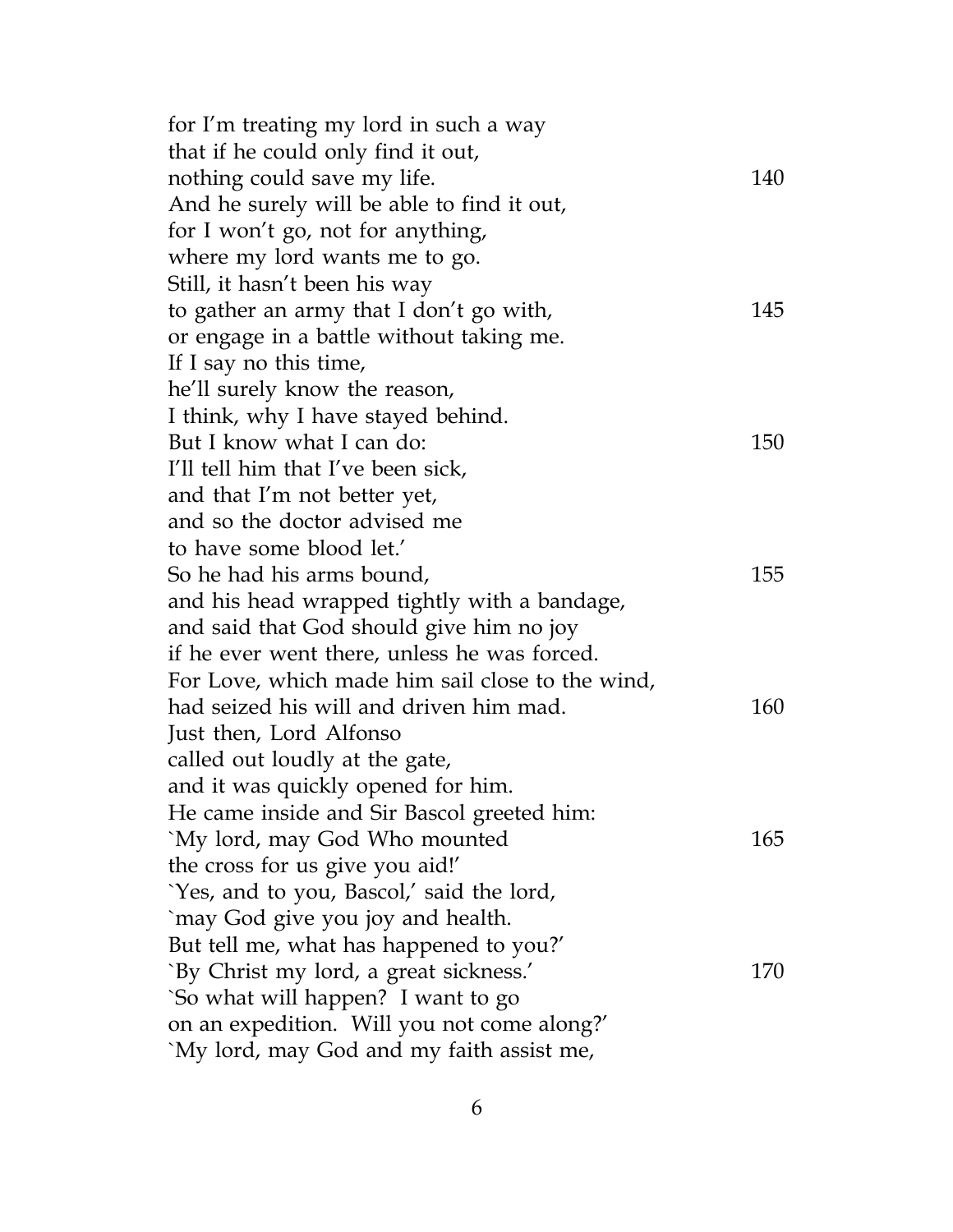| for I'm treating my lord in such a way           |     |
|--------------------------------------------------|-----|
| that if he could only find it out,               |     |
| nothing could save my life.                      | 140 |
| And he surely will be able to find it out,       |     |
| for I won't go, not for anything,                |     |
| where my lord wants me to go.                    |     |
| Still, it hasn't been his way                    |     |
| to gather an army that I don't go with,          | 145 |
| or engage in a battle without taking me.         |     |
| If I say no this time,                           |     |
| he'll surely know the reason,                    |     |
| I think, why I have stayed behind.               |     |
| But I know what I can do:                        | 150 |
| I'll tell him that I've been sick,               |     |
| and that I'm not better yet,                     |     |
| and so the doctor advised me                     |     |
| to have some blood let.'                         |     |
| So he had his arms bound,                        | 155 |
| and his head wrapped tightly with a bandage,     |     |
| and said that God should give him no joy         |     |
| if he ever went there, unless he was forced.     |     |
| For Love, which made him sail close to the wind, |     |
| had seized his will and driven him mad.          | 160 |
| Just then, Lord Alfonso                          |     |
| called out loudly at the gate,                   |     |
| and it was quickly opened for him.               |     |
| He came inside and Sir Bascol greeted him:       |     |
| `My lord, may God Who mounted                    | 165 |
| the cross for us give you aid!'                  |     |
| 'Yes, and to you, Bascol,' said the lord,        |     |
| `may God give you joy and health.                |     |
| But tell me, what has happened to you?'          |     |
| `By Christ my lord, a great sickness.'           | 170 |
| `So what will happen? I want to go               |     |
| on an expedition. Will you not come along?'      |     |
| `My lord, may God and my faith assist me,        |     |
|                                                  |     |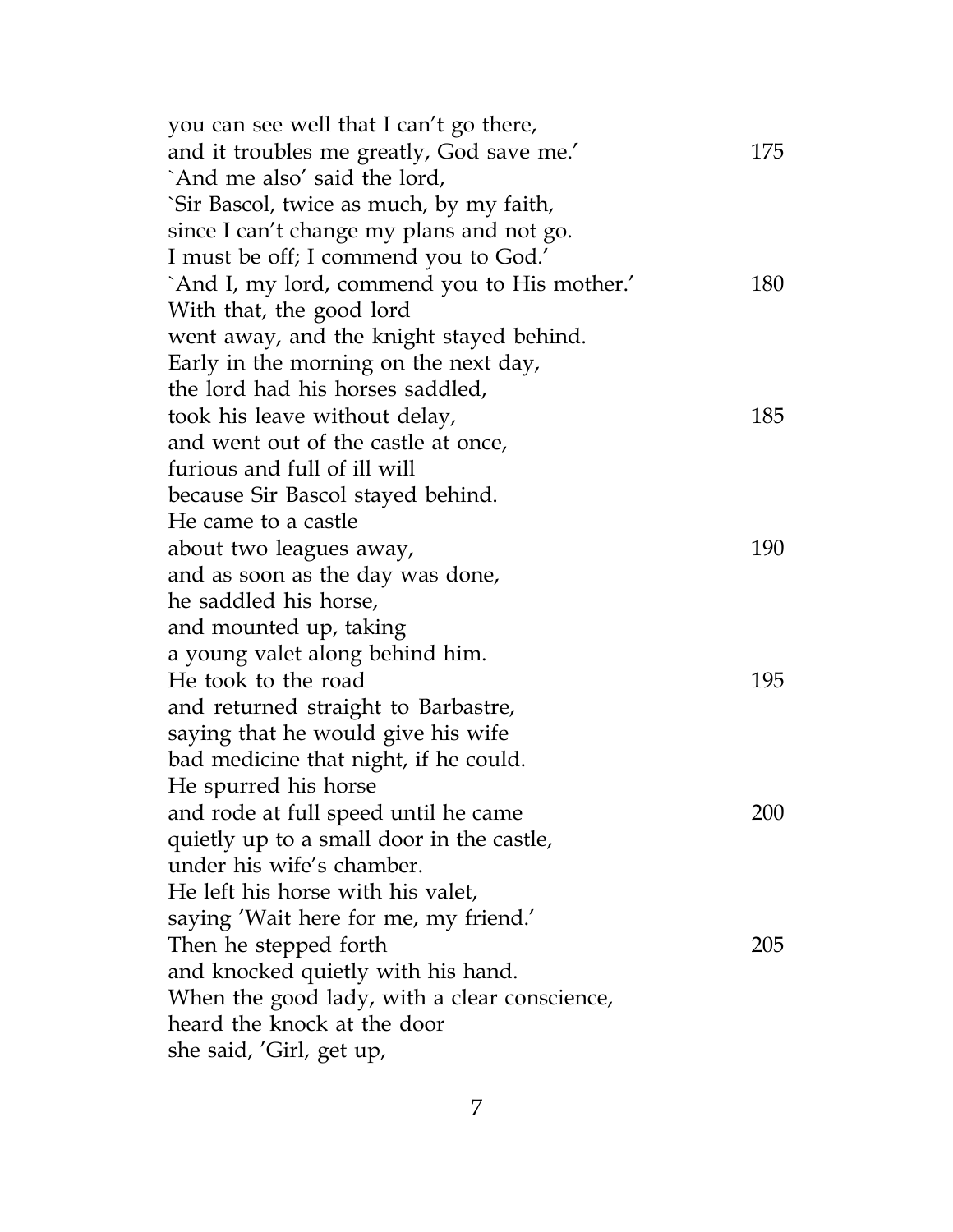| you can see well that I can't go there,      |     |
|----------------------------------------------|-----|
| and it troubles me greatly, God save me.'    | 175 |
| `And me also' said the lord,                 |     |
| `Sir Bascol, twice as much, by my faith,     |     |
| since I can't change my plans and not go.    |     |
| I must be off; I commend you to God.'        |     |
| `And I, my lord, commend you to His mother.' | 180 |
| With that, the good lord                     |     |
| went away, and the knight stayed behind.     |     |
| Early in the morning on the next day,        |     |
| the lord had his horses saddled,             |     |
| took his leave without delay,                | 185 |
| and went out of the castle at once,          |     |
| furious and full of ill will                 |     |
| because Sir Bascol stayed behind.            |     |
| He came to a castle                          |     |
| about two leagues away,                      | 190 |
| and as soon as the day was done,             |     |
| he saddled his horse,                        |     |
| and mounted up, taking                       |     |
| a young valet along behind him.              |     |
| He took to the road                          | 195 |
| and returned straight to Barbastre,          |     |
| saying that he would give his wife           |     |
| bad medicine that night, if he could.        |     |
| He spurred his horse                         |     |
| and rode at full speed until he came         | 200 |
| quietly up to a small door in the castle,    |     |
| under his wife's chamber.                    |     |
| He left his horse with his valet,            |     |
| saying 'Wait here for me, my friend.'        |     |
| Then he stepped forth                        | 205 |
| and knocked quietly with his hand.           |     |
| When the good lady, with a clear conscience, |     |
| heard the knock at the door                  |     |
| she said, 'Girl, get up,                     |     |
|                                              |     |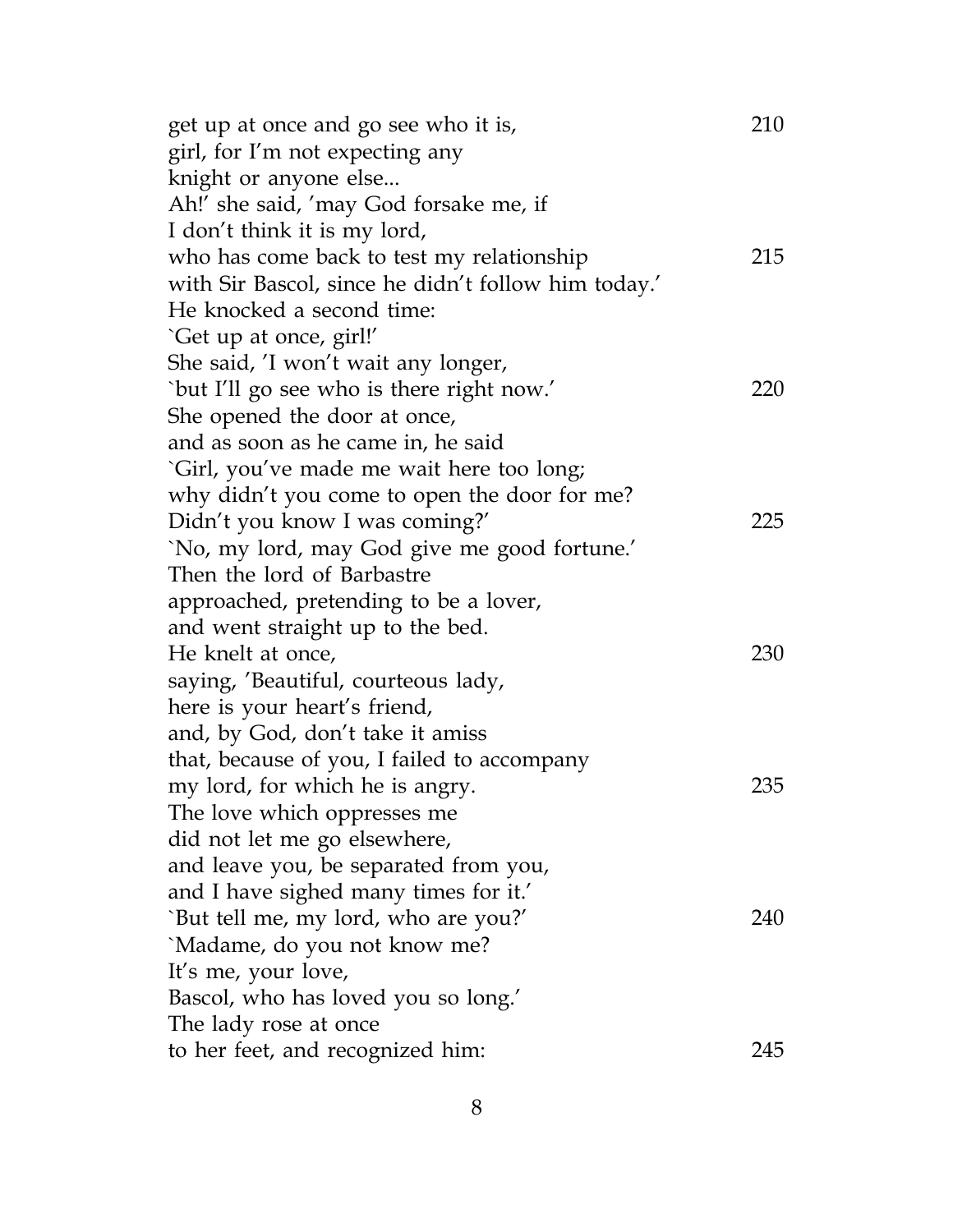| get up at once and go see who it is,                | 210 |
|-----------------------------------------------------|-----|
| girl, for I'm not expecting any                     |     |
| knight or anyone else                               |     |
| Ah!' she said, 'may God forsake me, if              |     |
| I don't think it is my lord,                        |     |
| who has come back to test my relationship           | 215 |
| with Sir Bascol, since he didn't follow him today.' |     |
| He knocked a second time:                           |     |
| 'Get up at once, girl!'                             |     |
| She said, 'I won't wait any longer,                 |     |
| 'but I'll go see who is there right now.'           | 220 |
| She opened the door at once,                        |     |
| and as soon as he came in, he said                  |     |
| `Girl, you've made me wait here too long;           |     |
| why didn't you come to open the door for me?        |     |
| Didn't you know I was coming?'                      | 225 |
| 'No, my lord, may God give me good fortune.'        |     |
| Then the lord of Barbastre                          |     |
| approached, pretending to be a lover,               |     |
| and went straight up to the bed.                    |     |
| He knelt at once,                                   | 230 |
| saying, 'Beautiful, courteous lady,                 |     |
| here is your heart's friend,                        |     |
| and, by God, don't take it amiss                    |     |
| that, because of you, I failed to accompany         |     |
| my lord, for which he is angry.                     | 235 |
| The love which oppresses me                         |     |
| did not let me go elsewhere,                        |     |
| and leave you, be separated from you,               |     |
| and I have sighed many times for it.'               |     |
| `But tell me, my lord, who are you?'                | 240 |
| 'Madame, do you not know me?                        |     |
| It's me, your love,                                 |     |
| Bascol, who has loved you so long.'                 |     |
| The lady rose at once                               |     |
| to her feet, and recognized him:                    | 245 |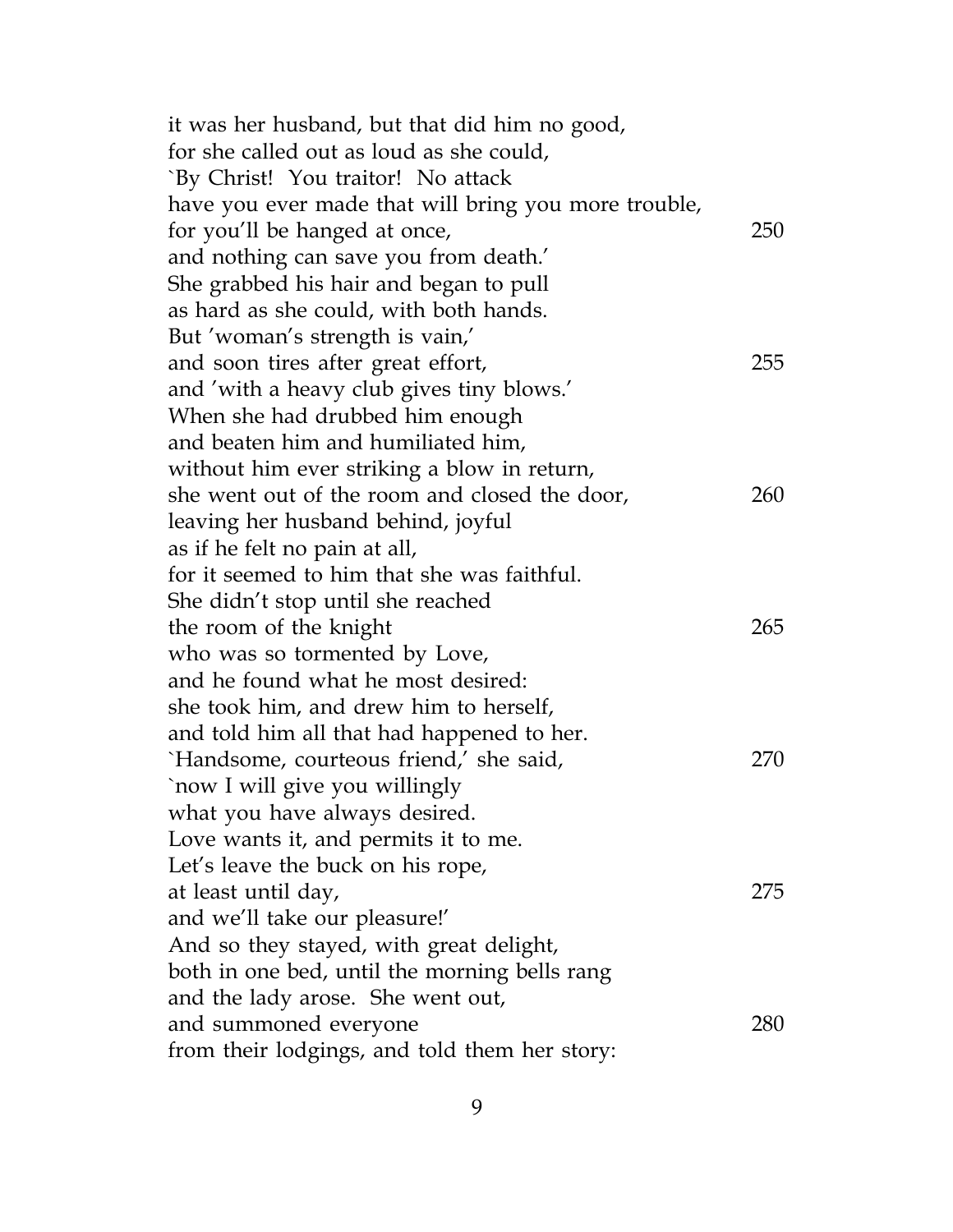| it was her husband, but that did him no good,        |     |
|------------------------------------------------------|-----|
| for she called out as loud as she could,             |     |
| `By Christ! You traitor! No attack                   |     |
| have you ever made that will bring you more trouble, |     |
| for you'll be hanged at once,                        | 250 |
| and nothing can save you from death.'                |     |
| She grabbed his hair and began to pull               |     |
| as hard as she could, with both hands.               |     |
| But 'woman's strength is vain,'                      |     |
| and soon tires after great effort,                   | 255 |
| and 'with a heavy club gives tiny blows.'            |     |
| When she had drubbed him enough                      |     |
| and beaten him and humiliated him,                   |     |
| without him ever striking a blow in return,          |     |
| she went out of the room and closed the door,        | 260 |
| leaving her husband behind, joyful                   |     |
| as if he felt no pain at all,                        |     |
| for it seemed to him that she was faithful.          |     |
| She didn't stop until she reached                    |     |
| the room of the knight                               | 265 |
| who was so tormented by Love,                        |     |
| and he found what he most desired:                   |     |
| she took him, and drew him to herself,               |     |
| and told him all that had happened to her.           |     |
| `Handsome, courteous friend,' she said,              | 270 |
| `now I will give you willingly                       |     |
| what you have always desired.                        |     |
| Love wants it, and permits it to me.                 |     |
| Let's leave the buck on his rope,                    |     |
| at least until day,                                  | 275 |
| and we'll take our pleasure!'                        |     |
| And so they stayed, with great delight,              |     |
| both in one bed, until the morning bells rang        |     |
| and the lady arose. She went out,                    |     |
| and summoned everyone                                | 280 |
| from their lodgings, and told them her story:        |     |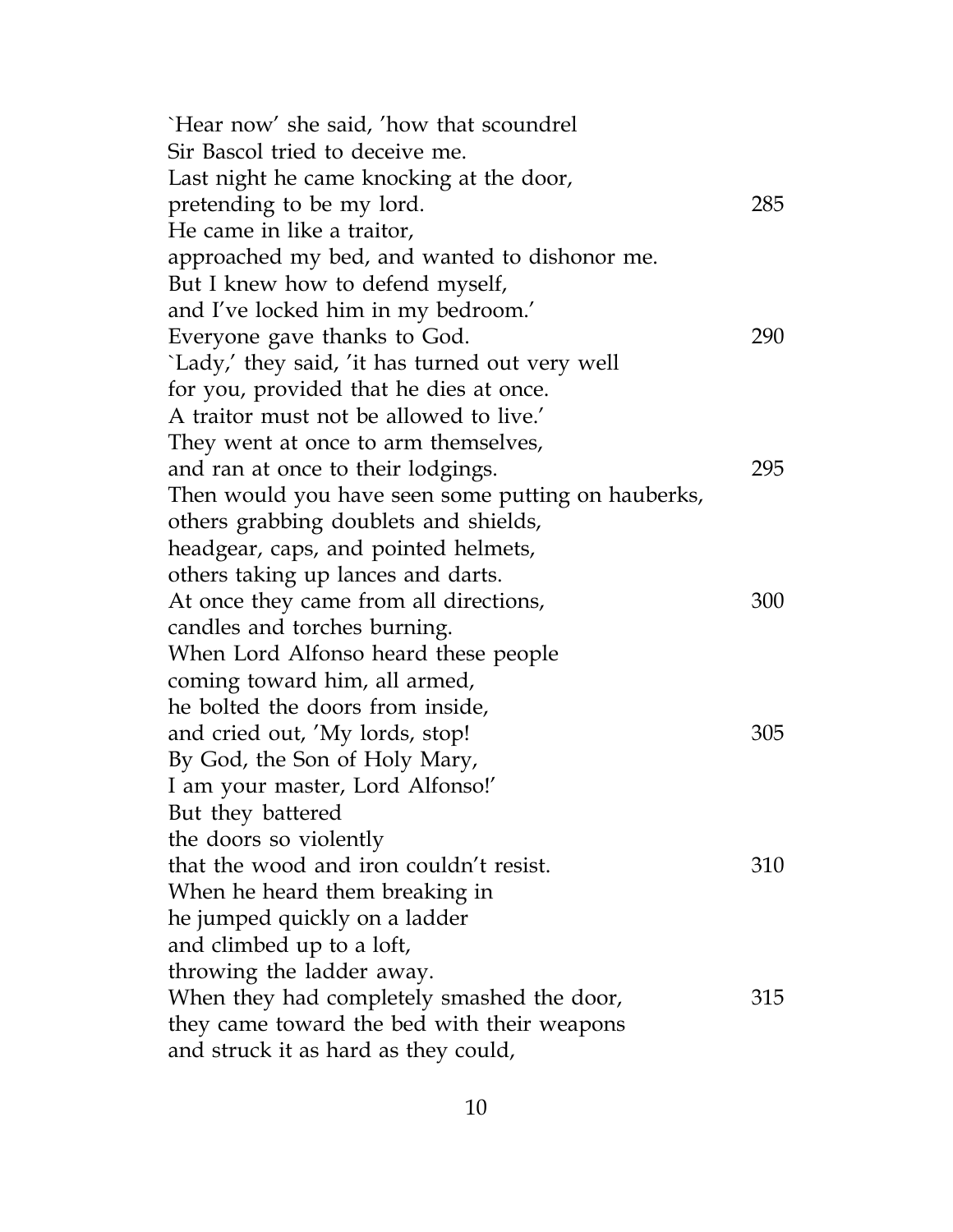| 285 |
|-----|
|     |
|     |
|     |
|     |
| 290 |
|     |
|     |
|     |
|     |
| 295 |
|     |
|     |
|     |
|     |
| 300 |
|     |
|     |
|     |
|     |
| 305 |
|     |
|     |
|     |
|     |
| 310 |
|     |
|     |
|     |
|     |
| 315 |
|     |
|     |
|     |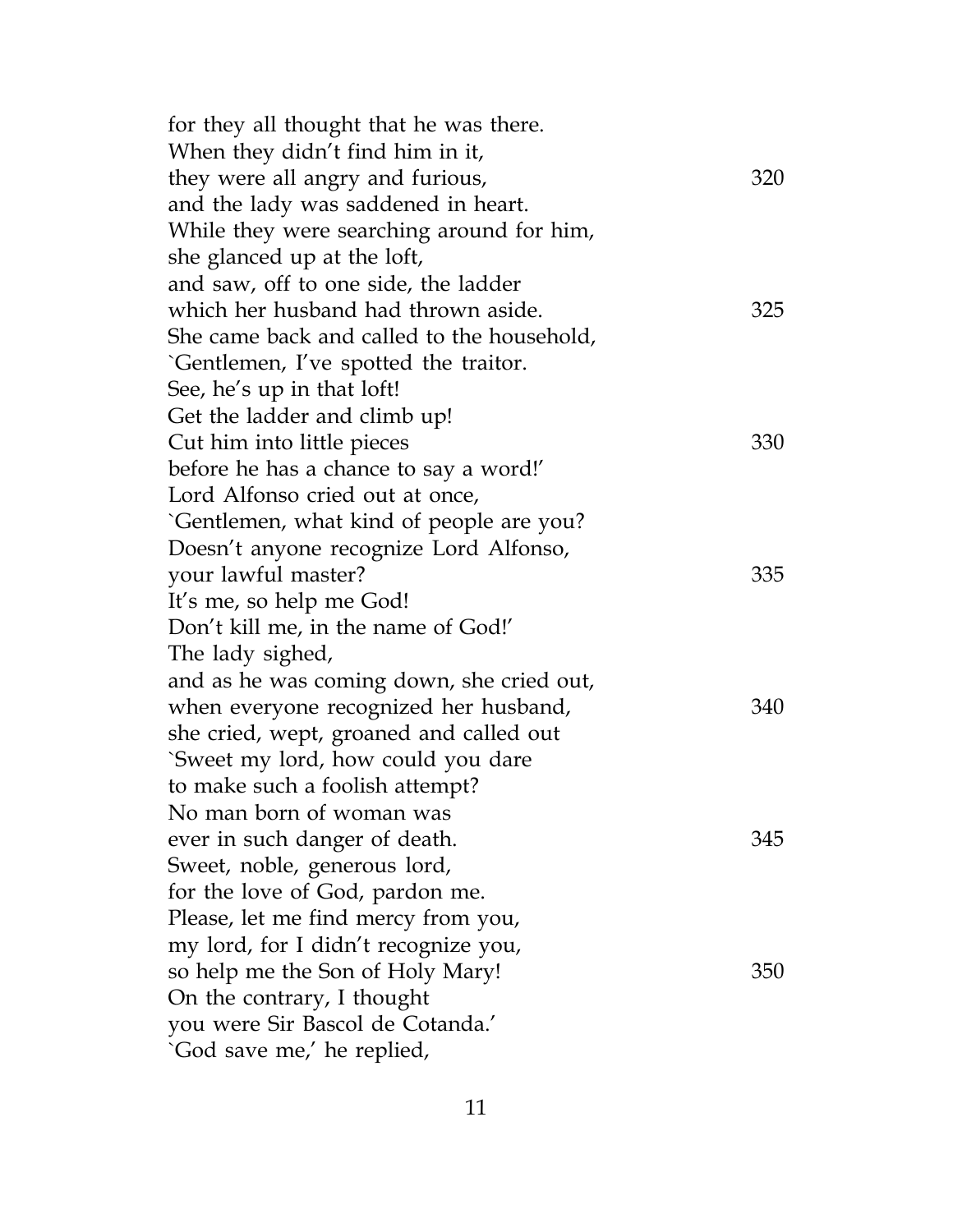| for they all thought that he was there.    |     |
|--------------------------------------------|-----|
| When they didn't find him in it,           |     |
| they were all angry and furious,           | 320 |
| and the lady was saddened in heart.        |     |
| While they were searching around for him,  |     |
| she glanced up at the loft,                |     |
| and saw, off to one side, the ladder       |     |
| which her husband had thrown aside.        | 325 |
| She came back and called to the household, |     |
| `Gentlemen, I've spotted the traitor.      |     |
| See, he's up in that loft!                 |     |
| Get the ladder and climb up!               |     |
| Cut him into little pieces                 | 330 |
| before he has a chance to say a word!'     |     |
| Lord Alfonso cried out at once,            |     |
| 'Gentlemen, what kind of people are you?   |     |
| Doesn't anyone recognize Lord Alfonso,     |     |
| your lawful master?                        | 335 |
| It's me, so help me God!                   |     |
| Don't kill me, in the name of God!'        |     |
| The lady sighed,                           |     |
| and as he was coming down, she cried out,  |     |
| when everyone recognized her husband,      | 340 |
| she cried, wept, groaned and called out    |     |
| 'Sweet my lord, how could you dare         |     |
| to make such a foolish attempt?            |     |
| No man born of woman was                   |     |
| ever in such danger of death.              | 345 |
| Sweet, noble, generous lord,               |     |
| for the love of God, pardon me.            |     |
| Please, let me find mercy from you,        |     |
| my lord, for I didn't recognize you,       |     |
| so help me the Son of Holy Mary!           | 350 |
| On the contrary, I thought                 |     |
| you were Sir Bascol de Cotanda.'           |     |
| 'God save me,' he replied,                 |     |
|                                            |     |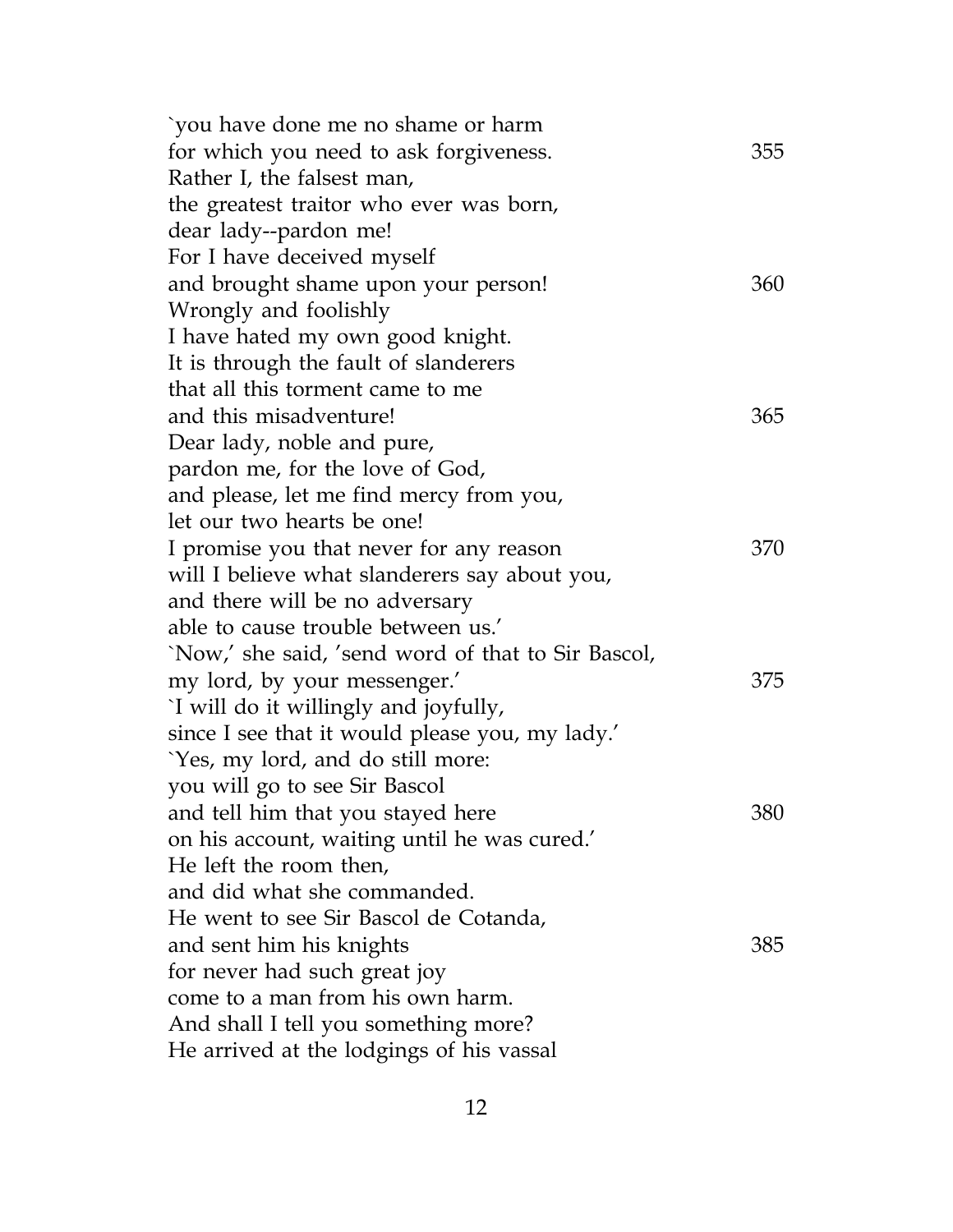| `you have done me no shame or harm                 |     |
|----------------------------------------------------|-----|
| for which you need to ask forgiveness.             | 355 |
| Rather I, the falsest man,                         |     |
| the greatest traitor who ever was born,            |     |
| dear lady--pardon me!                              |     |
| For I have deceived myself                         |     |
| and brought shame upon your person!                | 360 |
| Wrongly and foolishly                              |     |
| I have hated my own good knight.                   |     |
| It is through the fault of slanderers              |     |
| that all this torment came to me                   |     |
| and this misadventure!                             | 365 |
| Dear lady, noble and pure,                         |     |
| pardon me, for the love of God,                    |     |
| and please, let me find mercy from you,            |     |
| let our two hearts be one!                         |     |
| I promise you that never for any reason            | 370 |
| will I believe what slanderers say about you,      |     |
| and there will be no adversary                     |     |
| able to cause trouble between us.                  |     |
| 'Now,' she said, 'send word of that to Sir Bascol, |     |
| my lord, by your messenger.'                       | 375 |
| I will do it willingly and joyfully,               |     |
| since I see that it would please you, my lady.'    |     |
| Yes, my lord, and do still more:                   |     |
| you will go to see Sir Bascol                      |     |
| and tell him that you stayed here                  | 380 |
| on his account, waiting until he was cured.'       |     |
| He left the room then,                             |     |
| and did what she commanded.                        |     |
| He went to see Sir Bascol de Cotanda,              |     |
| and sent him his knights                           | 385 |
| for never had such great joy                       |     |
| come to a man from his own harm.                   |     |
| And shall I tell you something more?               |     |
| He arrived at the lodgings of his vassal           |     |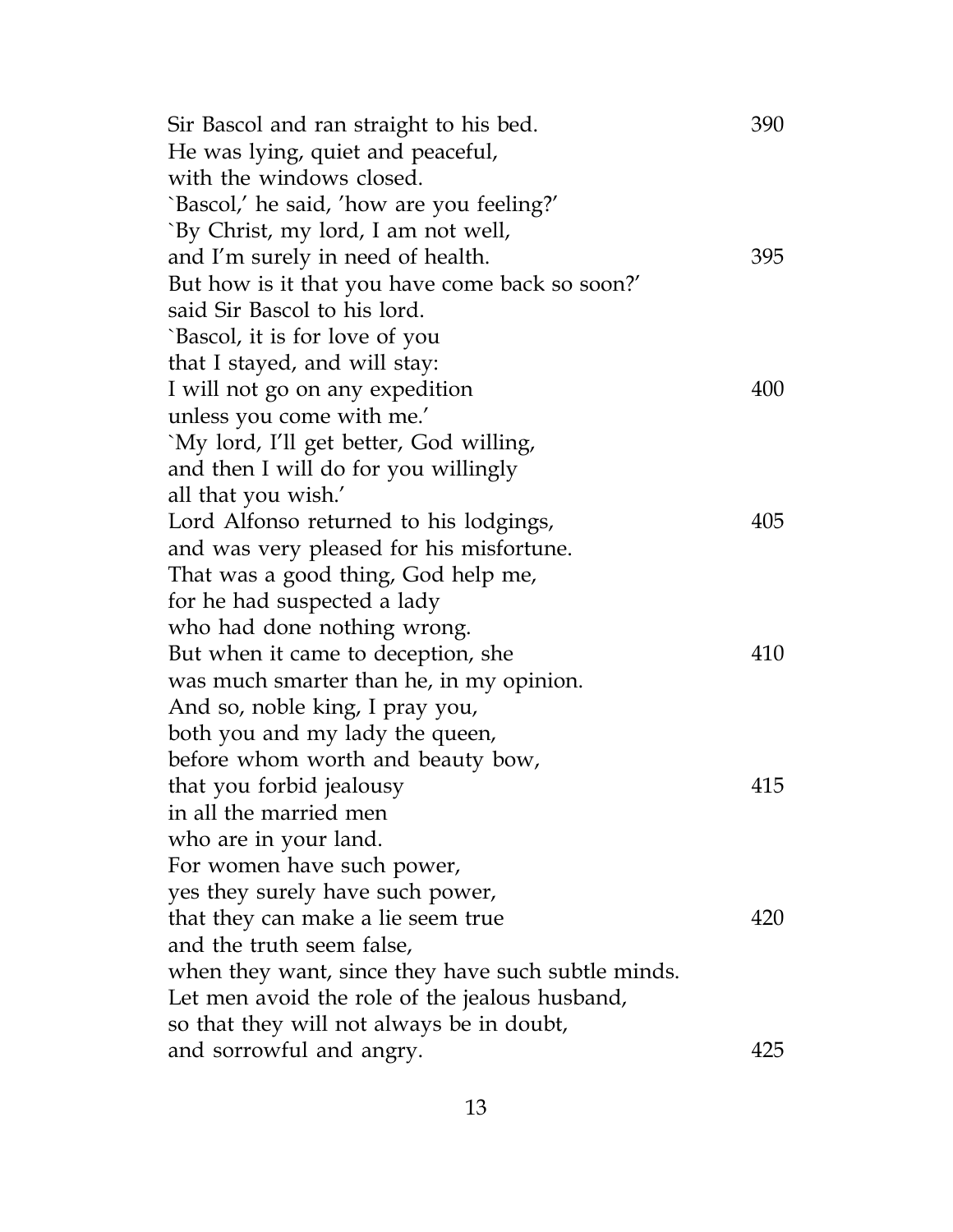| Sir Bascol and ran straight to his bed.            | 390 |
|----------------------------------------------------|-----|
| He was lying, quiet and peaceful,                  |     |
| with the windows closed.                           |     |
| 'Bascol,' he said, 'how are you feeling?'          |     |
| `By Christ, my lord, I am not well,                |     |
| and I'm surely in need of health.                  | 395 |
| But how is it that you have come back so soon?'    |     |
| said Sir Bascol to his lord.                       |     |
| `Bascol, it is for love of you                     |     |
| that I stayed, and will stay:                      |     |
| I will not go on any expedition                    | 400 |
| unless you come with me.'                          |     |
| `My lord, I'll get better, God willing,            |     |
| and then I will do for you willingly               |     |
| all that you wish.'                                |     |
| Lord Alfonso returned to his lodgings,             | 405 |
| and was very pleased for his misfortune.           |     |
| That was a good thing, God help me,                |     |
| for he had suspected a lady                        |     |
| who had done nothing wrong.                        |     |
| But when it came to deception, she                 | 410 |
| was much smarter than he, in my opinion.           |     |
| And so, noble king, I pray you,                    |     |
| both you and my lady the queen,                    |     |
| before whom worth and beauty bow,                  |     |
| that you forbid jealousy                           | 415 |
| in all the married men                             |     |
| who are in your land.                              |     |
| For women have such power,                         |     |
| yes they surely have such power,                   |     |
| that they can make a lie seem true                 | 420 |
| and the truth seem false,                          |     |
| when they want, since they have such subtle minds. |     |
| Let men avoid the role of the jealous husband,     |     |
| so that they will not always be in doubt,          |     |
| and sorrowful and angry.                           | 425 |
|                                                    |     |